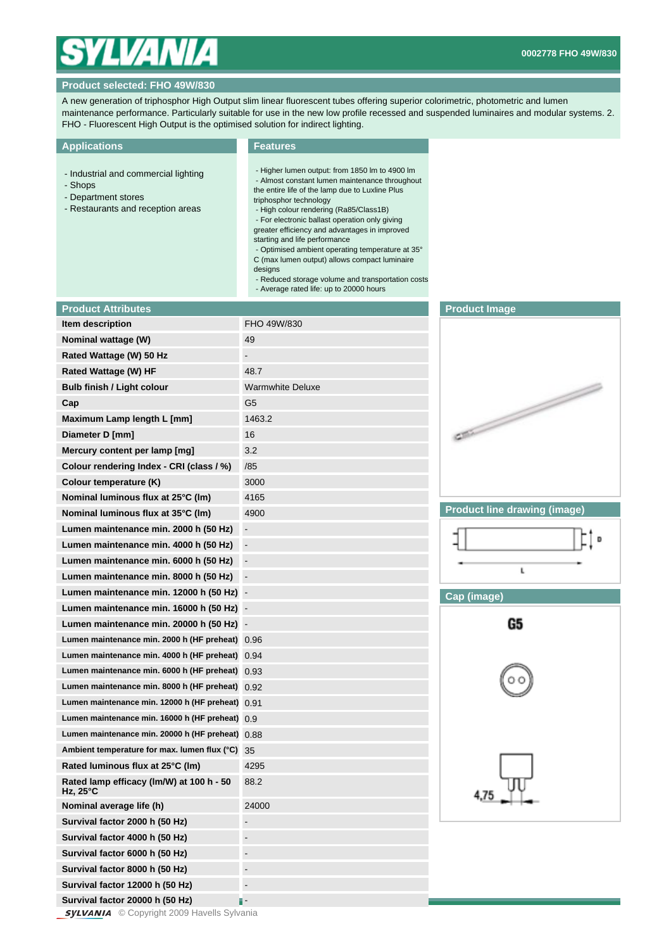

## **Product selected: FHO 49W/830**

A new generation of triphosphor High Output slim linear fluorescent tubes offering superior colorimetric, photometric and lumen maintenance performance. Particularly suitable for use in the new low profile recessed and suspended luminaires and modular systems. 2. FHO - Fluorescent High Output is the optimised solution for indirect lighting.

## **Applications**

## **Features**

- Industrial and commercial lighting
- Shops
- Department stores
- Restaurants and reception areas

 - Higher lumen output: from 1850 lm to 4900 lm - Almost constant lumen maintenance throughout the entire life of the lamp due to Luxline Plus

- triphosphor technology - High colour rendering (Ra85/Class1B)
- For electronic ballast operation only giving greater efficiency and advantages in improved
- starting and life performance
- Optimised ambient operating temperature at 35°
- C (max lumen output) allows compact luminaire
- designs
- Reduced storage volume and transportation costs
- Average rated life: up to 20000 hours

| <b>Product Attributes</b>                            |                              |
|------------------------------------------------------|------------------------------|
| Item description                                     | FHO 49W/830                  |
| Nominal wattage (W)                                  | 49                           |
| Rated Wattage (W) 50 Hz                              |                              |
| Rated Wattage (W) HF                                 | 48.7                         |
| Bulb finish / Light colour                           | <b>Warmwhite Deluxe</b>      |
| Cap                                                  | G5                           |
| Maximum Lamp length L [mm]                           | 1463.2                       |
| Diameter D [mm]                                      | 16                           |
| Mercury content per lamp [mg]                        | 3.2                          |
| Colour rendering Index - CRI (class / %)             | /85                          |
| Colour temperature (K)                               | 3000                         |
| Nominal luminous flux at 25°C (Im)                   | 4165                         |
| Nominal luminous flux at 35°C (lm)                   | 4900                         |
| Lumen maintenance min. 2000 h (50 Hz)                | $\overline{\phantom{0}}$     |
| Lumen maintenance min. 4000 h (50 Hz)                | -                            |
| Lumen maintenance min. 6000 h (50 Hz)                | -                            |
| Lumen maintenance min. 8000 h (50 Hz)                | $\qquad \qquad \blacksquare$ |
| Lumen maintenance min. 12000 h (50 Hz)               | $\qquad \qquad \blacksquare$ |
| Lumen maintenance min. 16000 h (50 Hz)               |                              |
| Lumen maintenance min. 20000 h (50 Hz)               | $\overline{\phantom{m}}$     |
| Lumen maintenance min. 2000 h (HF preheat)           | 0.96                         |
| Lumen maintenance min. 4000 h (HF preheat)           | 0.94                         |
| Lumen maintenance min. 6000 h (HF preheat)           | 0.93                         |
| Lumen maintenance min. 8000 h (HF preheat)           | 0.92                         |
| Lumen maintenance min. 12000 h (HF preheat)          | 0.91                         |
| Lumen maintenance min. 16000 h (HF preheat)          | 0.9                          |
| Lumen maintenance min. 20000 h (HF preheat)          | 0.88                         |
| Ambient temperature for max. lumen flux (°C)         | 35                           |
| Rated luminous flux at 25°C (lm)                     | 4295                         |
| Rated lamp efficacy (lm/W) at 100 h - 50<br>Hz, 25°C | 88.2                         |
| Nominal average life (h)                             | 24000                        |
| Survival factor 2000 h (50 Hz)                       | $\overline{\phantom{0}}$     |
| Survival factor 4000 h (50 Hz)                       |                              |
| Survival factor 6000 h (50 Hz)                       |                              |
| Survival factor 8000 h (50 Hz)                       |                              |
| Survival factor 12000 h (50 Hz)                      |                              |
| Survival factor 20000 h (50 Hz)                      |                              |